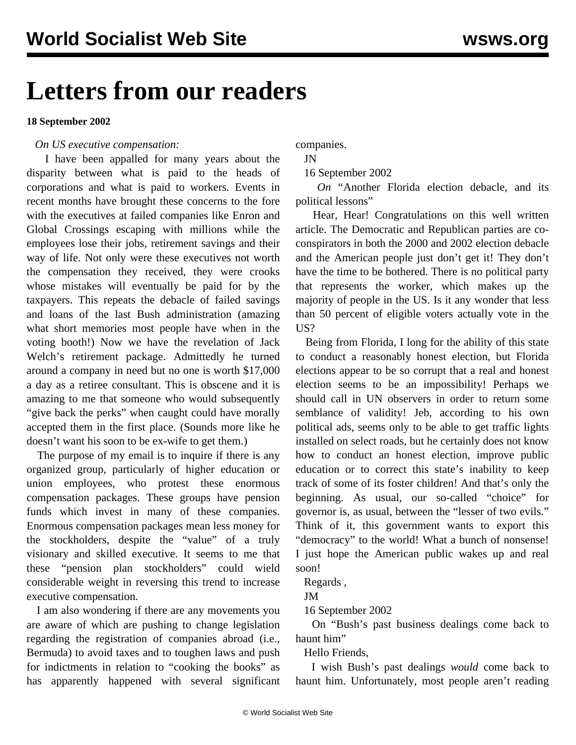## **Letters from our readers**

## **18 September 2002**

## *On US executive compensation:*

 I have been appalled for many years about the disparity between what is paid to the heads of corporations and what is paid to workers. Events in recent months have brought these concerns to the fore with the executives at failed companies like Enron and Global Crossings escaping with millions while the employees lose their jobs, retirement savings and their way of life. Not only were these executives not worth the compensation they received, they were crooks whose mistakes will eventually be paid for by the taxpayers. This repeats the debacle of failed savings and loans of the last Bush administration (amazing what short memories most people have when in the voting booth!) Now we have the revelation of Jack Welch's retirement package. Admittedly he turned around a company in need but no one is worth \$17,000 a day as a retiree consultant. This is obscene and it is amazing to me that someone who would subsequently "give back the perks" when caught could have morally accepted them in the first place. (Sounds more like he doesn't want his soon to be ex-wife to get them.)

 The purpose of my email is to inquire if there is any organized group, particularly of higher education or union employees, who protest these enormous compensation packages. These groups have pension funds which invest in many of these companies. Enormous compensation packages mean less money for the stockholders, despite the "value" of a truly visionary and skilled executive. It seems to me that these "pension plan stockholders" could wield considerable weight in reversing this trend to increase executive compensation.

 I am also wondering if there are any movements you are aware of which are pushing to change legislation regarding the registration of companies abroad (i.e., Bermuda) to avoid taxes and to toughen laws and push for indictments in relation to "cooking the books" as has apparently happened with several significant

companies.

JN

16 September 2002

 *On* ["Another Florida election debacle, and its](flor-s16.shtml) [political lessons](flor-s16.shtml)"

 Hear, Hear! Congratulations on this well written article. The Democratic and Republican parties are coconspirators in both the 2000 and 2002 election debacle and the American people just don't get it! They don't have the time to be bothered. There is no political party that represents the worker, which makes up the majority of people in the US. Is it any wonder that less than 50 percent of eligible voters actually vote in the US?

 Being from Florida, I long for the ability of this state to conduct a reasonably honest election, but Florida elections appear to be so corrupt that a real and honest election seems to be an impossibility! Perhaps we should call in UN observers in order to return some semblance of validity! Jeb, according to his own political ads, seems only to be able to get traffic lights installed on select roads, but he certainly does not know how to conduct an honest election, improve public education or to correct this state's inability to keep track of some of its foster children! And that's only the beginning. As usual, our so-called "choice" for governor is, as usual, between the "lesser of two evils." Think of it, this government wants to export this "democracy" to the world! What a bunch of nonsense! I just hope the American public wakes up and real soon!

Regards ,

JM

16 September 2002

 On "[Bush's past business dealings come back to](../jul2002/bush-j09.shtml) [haunt him"](../jul2002/bush-j09.shtml)

Hello Friends,

 I wish Bush's past dealings *would* come back to haunt him. Unfortunately, most people aren't reading